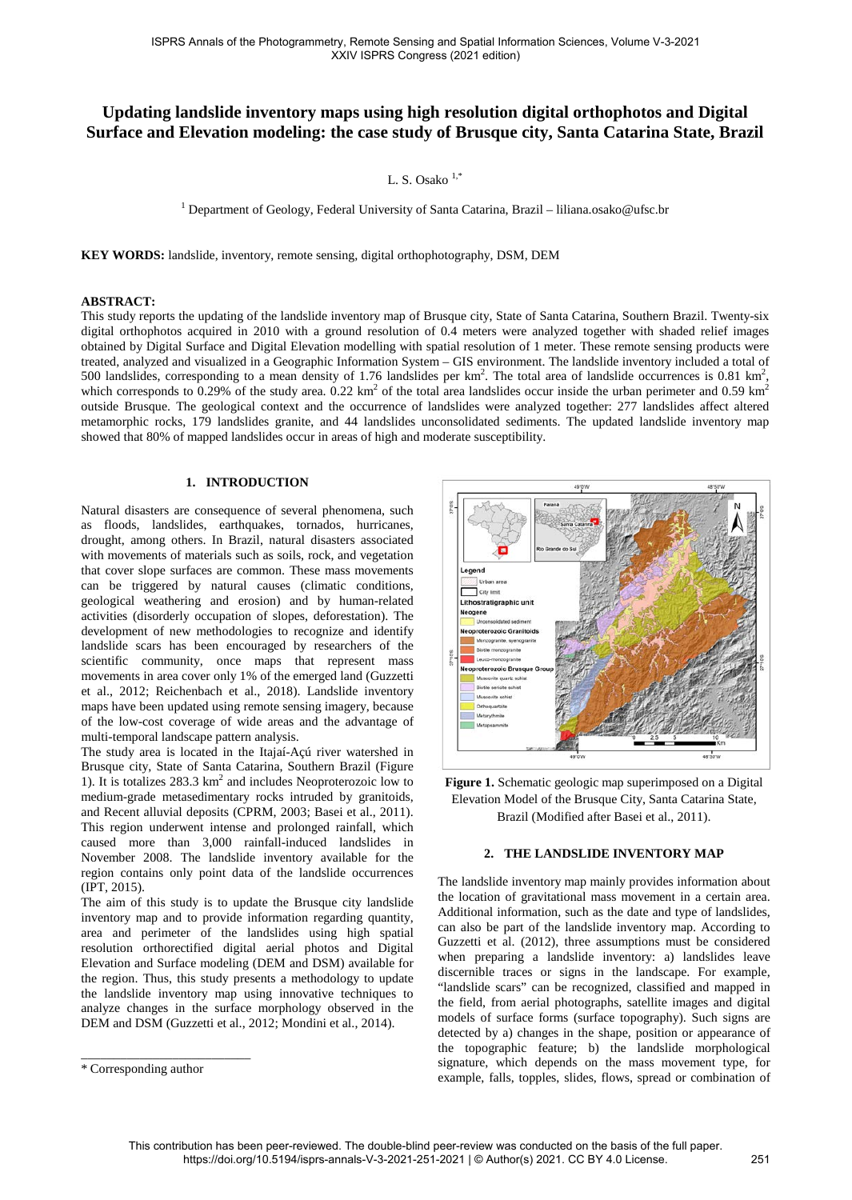# **Updating landslide inventory maps using high resolution digital orthophotos and Digital Surface and Elevation modeling: the case study of Brusque city, Santa Catarina State, Brazil**

L. S. Osako  $1, *$ 

<sup>1</sup> Department of Geology, Federal University of Santa Catarina, Brazil - liliana.osako@ufsc.br

**KEY WORDS:** landslide, inventory, remote sensing, digital orthophotography, DSM, DEM

#### **ABSTRACT:**

This study reports the updating of the landslide inventory map of Brusque city, State of Santa Catarina, Southern Brazil. Twenty-six digital orthophotos acquired in 2010 with a ground resolution of 0.4 meters were analyzed together with shaded relief images obtained by Digital Surface and Digital Elevation modelling with spatial resolution of 1 meter. These remote sensing products were treated, analyzed and visualized in a Geographic Information System – GIS environment. The landslide inventory included a total of 500 landslides, corresponding to a mean density of 1.76 landslides per  $km^2$ . The total area of landslide occurrences is 0.81  $km^2$ , which corresponds to 0.29% of the study area. 0.22 km<sup>2</sup> of the total area landslides occur inside the urban perimeter and 0.59 km<sup>2</sup> outside Brusque. The geological context and the occurrence of landslides were analyzed together: 277 landslides affect altered metamorphic rocks, 179 landslides granite, and 44 landslides unconsolidated sediments. The updated landslide inventory map showed that 80% of mapped landslides occur in areas of high and moderate susceptibility.

#### **1. INTRODUCTION**

Natural disasters are consequence of several phenomena, such as floods, landslides, earthquakes, tornados, hurricanes, drought, among others. In Brazil, natural disasters associated with movements of materials such as soils, rock, and vegetation that cover slope surfaces are common. These mass movements can be triggered by natural causes (climatic conditions, geological weathering and erosion) and by human-related activities (disorderly occupation of slopes, deforestation). The development of new methodologies to recognize and identify landslide scars has been encouraged by researchers of the scientific community, once maps that represent mass movements in area cover only 1% of the emerged land (Guzzetti et al., 2012; Reichenbach et al., 2018). Landslide inventory maps have been updated using remote sensing imagery, because of the low-cost coverage of wide areas and the advantage of multi-temporal landscape pattern analysis.

The study area is located in the Itajaí-Açú river watershed in Brusque city, State of Santa Catarina, Southern Brazil (Figure 1). It is totalizes 283.3 km2 and includes Neoproterozoic low to medium-grade metasedimentary rocks intruded by granitoids, and Recent alluvial deposits (CPRM, 2003; Basei et al., 2011). This region underwent intense and prolonged rainfall, which caused more than 3,000 rainfall-induced landslides in November 2008. The landslide inventory available for the region contains only point data of the landslide occurrences (IPT, 2015).

The aim of this study is to update the Brusque city landslide inventory map and to provide information regarding quantity, area and perimeter of the landslides using high spatial resolution orthorectified digital aerial photos and Digital Elevation and Surface modeling (DEM and DSM) available for the region. Thus, this study presents a methodology to update the landslide inventory map using innovative techniques to analyze changes in the surface morphology observed in the DEM and DSM (Guzzetti et al., 2012; Mondini et al., 2014).

\_\_\_\_\_\_\_\_\_\_\_\_\_\_\_\_\_\_\_\_\_\_\_\_\_\_



**Figure 1.** Schematic geologic map superimposed on a Digital Elevation Model of the Brusque City, Santa Catarina State, Brazil (Modified after Basei et al., 2011).

## **2. THE LANDSLIDE INVENTORY MAP**

The landslide inventory map mainly provides information about the location of gravitational mass movement in a certain area. Additional information, such as the date and type of landslides, can also be part of the landslide inventory map. According to Guzzetti et al. (2012), three assumptions must be considered when preparing a landslide inventory: a) landslides leave discernible traces or signs in the landscape. For example, "landslide scars" can be recognized, classified and mapped in the field, from aerial photographs, satellite images and digital models of surface forms (surface topography). Such signs are detected by a) changes in the shape, position or appearance of the topographic feature; b) the landslide morphological signature, which depends on the mass movement type, for example, falls, topples, slides, flows, spread or combination of

<sup>\*</sup> Corresponding author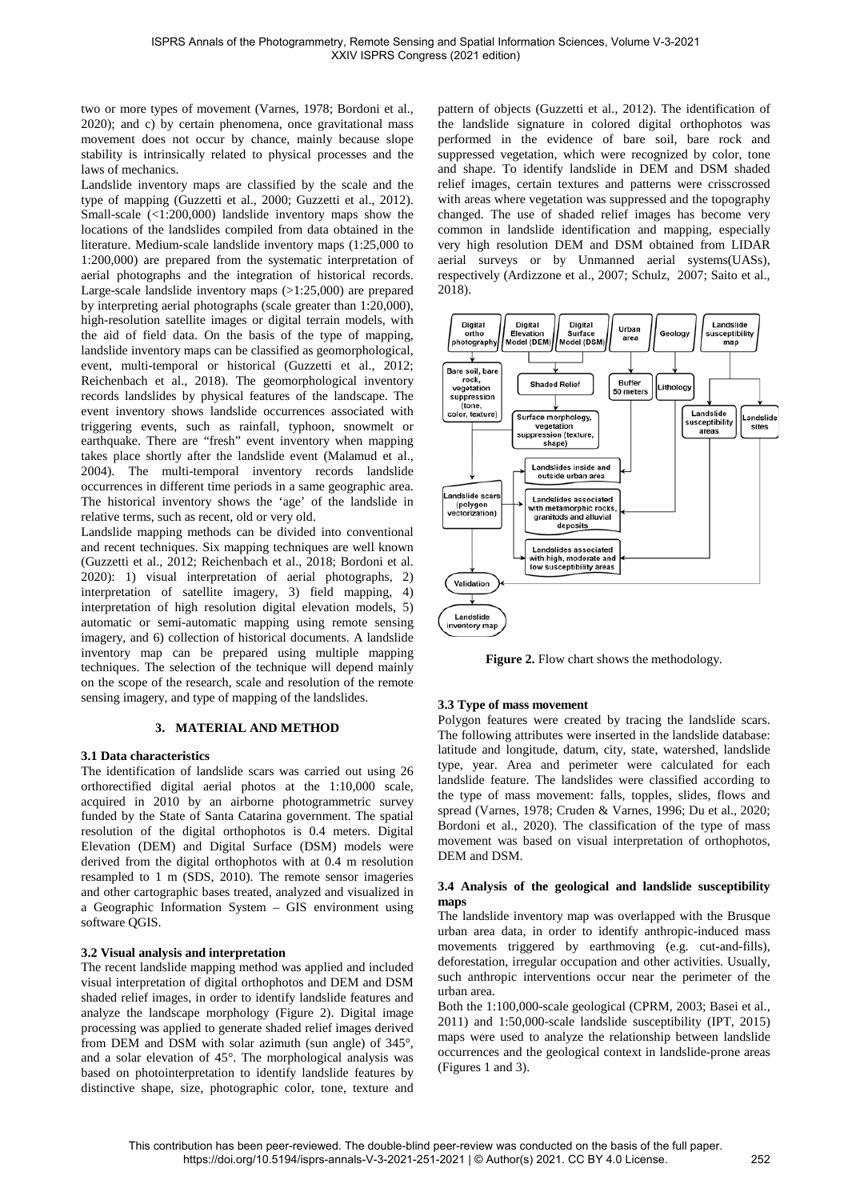two or more types of movement (Varnes, 1978; Bordoni et al., 2020); and c) by certain phenomena, once gravitational mass movement does not occur by chance, mainly because slope stability is intrinsically related to physical processes and the laws of mechanics.

Landslide inventory maps are classified by the scale and the type of mapping (Guzzetti et al., 2000; Guzzetti et al., 2012). Small-scale  $(\langle 1:200,000 \rangle)$  landslide inventory maps show the locations of the landslides compiled from data obtained in the literature. Medium-scale landslide inventory maps (1:25,000 to 1:200,000) are prepared from the systematic interpretation of aerial photographs and the integration of historical records. Large-scale landslide inventory maps  $(>1:25,000)$  are prepared by interpreting aerial photographs (scale greater than 1:20,000), high-resolution satellite images or digital terrain models, with the aid of field data. On the basis of the type of mapping, landslide inventory maps can be classified as geomorphological, event, multi-temporal or historical (Guzzetti et al., 2012; Reichenbach et al., 2018). The geomorphological inventory records landslides by physical features of the landscape. The event inventory shows landslide occurrences associated with triggering events, such as rainfall, typhoon, snowmelt or earthquake. There are "fresh" event inventory when mapping takes place shortly after the landslide event (Malamud et al., 2004). The multi-temporal inventory records landslide occurrences in different time periods in a same geographic area. The historical inventory shows the 'age' of the landslide in relative terms, such as recent, old or very old.

Landslide mapping methods can be divided into conventional and recent techniques. Six mapping techniques are well known (Guzzetti et al., 2012; Reichenbach et al., 2018; Bordoni et al. 2020): 1) visual interpretation of aerial photographs, 2) interpretation of satellite imagery, 3) field mapping, 4) interpretation of high resolution digital elevation models, 5) automatic or semi-automatic mapping using remote sensing imagery, and 6) collection of historical documents. A landslide inventory map can be prepared using multiple mapping techniques. The selection of the technique will depend mainly on the scope of the research, scale and resolution of the remote sensing imagery, and type of mapping of the landslides.

## **3. MATERIAL AND METHOD**

## **3.1 Data characteristics**

The identification of landslide scars was carried out using 26 orthorectified digital aerial photos at the 1:10,000 scale, acquired in 2010 by an airborne photogrammetric survey funded by the State of Santa Catarina government. The spatial resolution of the digital orthophotos is 0.4 meters. Digital Elevation (DEM) and Digital Surface (DSM) models were derived from the digital orthophotos with at 0.4 m resolution resampled to 1 m (SDS, 2010). The remote sensor imageries and other cartographic bases treated, analyzed and visualized in a Geographic Information System – GIS environment using software QGIS.

# **3.2 Visual analysis and interpretation**

The recent landslide mapping method was applied and included visual interpretation of digital orthophotos and DEM and DSM shaded relief images, in order to identify landslide features and analyze the landscape morphology (Figure 2). Digital image processing was applied to generate shaded relief images derived from DEM and DSM with solar azimuth (sun angle) of 345°, and a solar elevation of 45°. The morphological analysis was based on photointerpretation to identify landslide features by distinctive shape, size, photographic color, tone, texture and

pattern of objects (Guzzetti et al., 2012). The identification of the landslide signature in colored digital orthophotos was performed in the evidence of bare soil, bare rock and suppressed vegetation, which were recognized by color, tone and shape. To identify landslide in DEM and DSM shaded relief images, certain textures and patterns were crisscrossed with areas where vegetation was suppressed and the topography changed. The use of shaded relief images has become very common in landslide identification and mapping, especially very high resolution DEM and DSM obtained from LIDAR aerial surveys or by Unmanned aerial systems(UASs), respectively (Ardizzone et al., 2007; Schulz, 2007; Saito et al., 2018).



**Figure 2.** Flow chart shows the methodology.

## **3.3 Type of mass movement**

Polygon features were created by tracing the landslide scars. The following attributes were inserted in the landslide database: latitude and longitude, datum, city, state, watershed, landslide type, year. Area and perimeter were calculated for each landslide feature. The landslides were classified according to the type of mass movement: falls, topples, slides, flows and spread (Varnes, 1978; Cruden & Varnes, 1996; Du et al., 2020; Bordoni et al., 2020). The classification of the type of mass movement was based on visual interpretation of orthophotos, DEM and DSM.

## **3.4 Analysis of the geological and landslide susceptibility maps**

The landslide inventory map was overlapped with the Brusque urban area data, in order to identify anthropic-induced mass movements triggered by earthmoving (e.g. cut-and-fills), deforestation, irregular occupation and other activities. Usually, such anthropic interventions occur near the perimeter of the urban area.

Both the 1:100,000-scale geological (CPRM, 2003; Basei et al., 2011) and 1:50,000-scale landslide susceptibility (IPT, 2015) maps were used to analyze the relationship between landslide occurrences and the geological context in landslide-prone areas (Figures 1 and 3).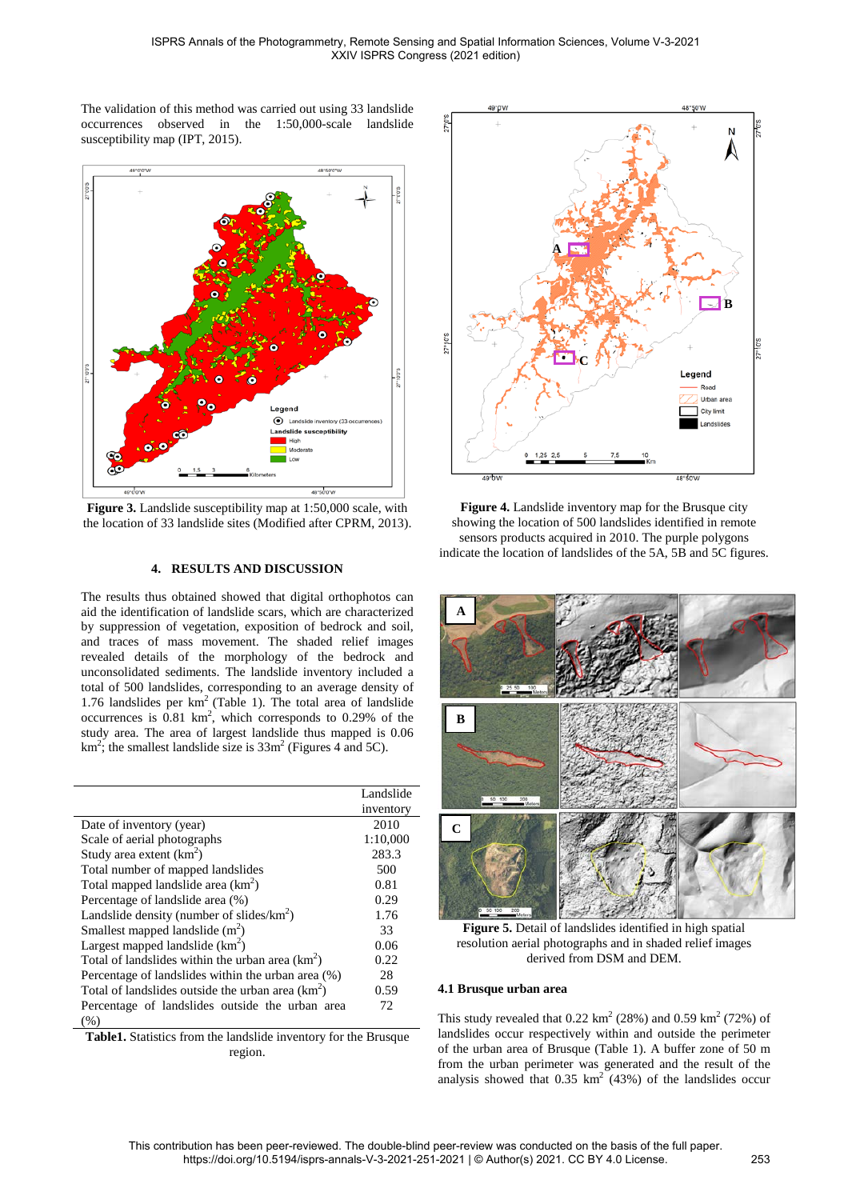The validation of this method was carried out using 33 landslide occurrences observed in the 1:50,000-scale landslide susceptibility map (IPT, 2015).



**Figure 3.** Landslide susceptibility map at 1:50,000 scale, with the location of 33 landslide sites (Modified after CPRM, 2013).

# **4. RESULTS AND DISCUSSION**

The results thus obtained showed that digital orthophotos can aid the identification of landslide scars, which are characterized by suppression of vegetation, exposition of bedrock and soil, and traces of mass movement. The shaded relief images revealed details of the morphology of the bedrock and unconsolidated sediments. The landslide inventory included a total of 500 landslides, corresponding to an average density of 1.76 landslides per km2 (Table 1). The total area of landslide occurrences is  $0.81 \text{ km}^2$ , which corresponds to  $0.29\%$  of the study area. The area of largest landslide thus mapped is 0.06 km<sup>2</sup>; the smallest landslide size is  $33m^2$  (Figures 4 and 5C).

|                                                     | Landslide |
|-----------------------------------------------------|-----------|
|                                                     | inventory |
| Date of inventory (year)                            | 2010      |
| Scale of aerial photographs                         | 1:10,000  |
| Study area extent $(km^2)$                          | 283.3     |
| Total number of mapped landslides                   | 500       |
| Total mapped landslide area $(km^2)$                | 0.81      |
| Percentage of landslide area (%)                    | 0.29      |
| Landslide density (number of slides/ $km^2$ )       | 1.76      |
| Smallest mapped landslide $(m2)$                    | 33        |
| Largest mapped landslide $(km^2)$                   | 0.06      |
| Total of landslides within the urban area $(km^2)$  | 0.22      |
| Percentage of landslides within the urban area (%)  | 28        |
| Total of landslides outside the urban area $(km^2)$ | 0.59      |
| Percentage of landslides outside the urban area     | 72        |
| (% )                                                |           |

**Table1.** Statistics from the landslide inventory for the Brusque region.



**Figure 4.** Landslide inventory map for the Brusque city showing the location of 500 landslides identified in remote sensors products acquired in 2010. The purple polygons indicate the location of landslides of the 5A, 5B and 5C figures.



**Figure 5.** Detail of landslides identified in high spatial resolution aerial photographs and in shaded relief images derived from DSM and DEM.

# **4.1 Brusque urban area**

This study revealed that  $0.22 \text{ km}^2$  (28%) and  $0.59 \text{ km}^2$  (72%) of landslides occur respectively within and outside the perimeter of the urban area of Brusque (Table 1). A buffer zone of 50 m from the urban perimeter was generated and the result of the analysis showed that  $0.35 \text{ km}^2$  (43%) of the landslides occur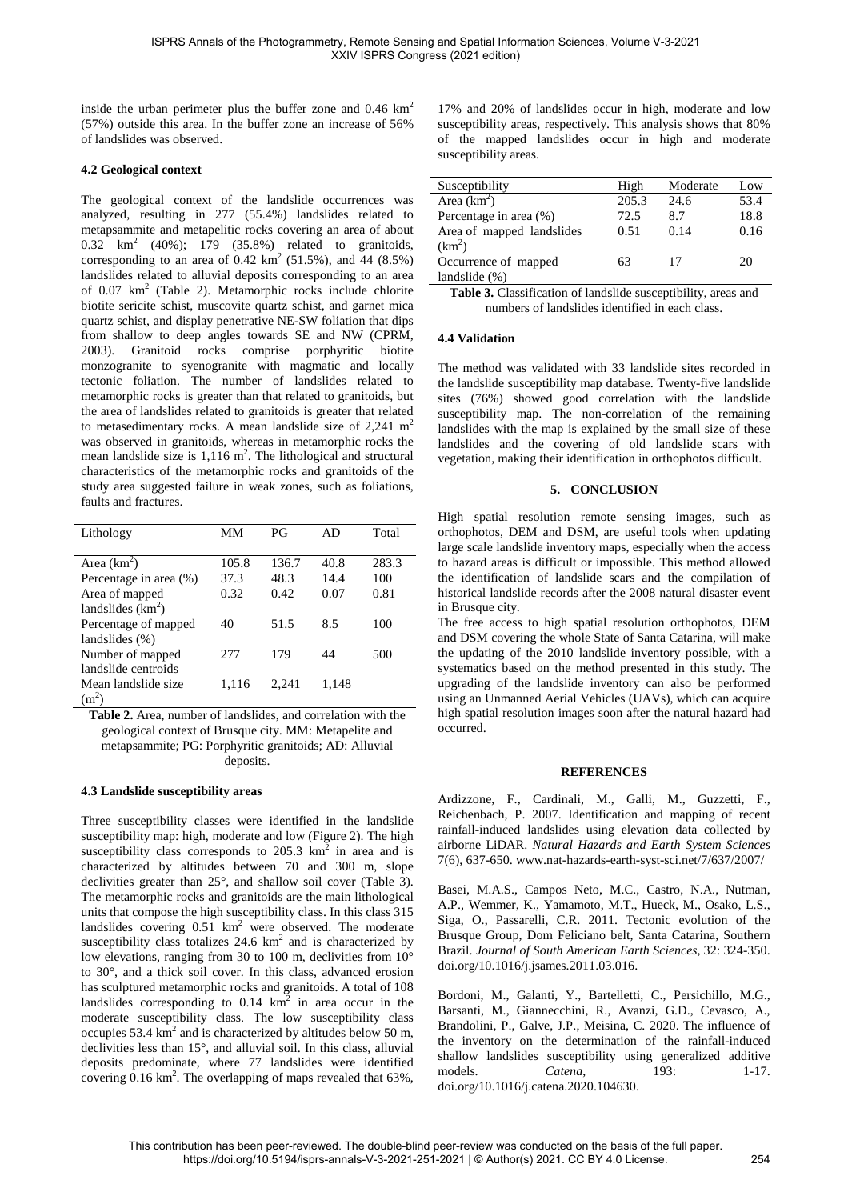inside the urban perimeter plus the buffer zone and 0.46 km<sup>2</sup> (57%) outside this area. In the buffer zone an increase of 56% of landslides was observed.

## **4.2 Geological context**

The geological context of the landslide occurrences was analyzed, resulting in 277 (55.4%) landslides related to metapsammite and metapelitic rocks covering an area of about  $0.32 \text{ km}^2$  (40%);  $179$  (35.8%) related to granitoids, corresponding to an area of 0.42  $\text{km}^2$  (51.5%), and 44 (8.5%) landslides related to alluvial deposits corresponding to an area of  $0.07 \text{ km}^2$  (Table 2). Metamorphic rocks include chlorite biotite sericite schist, muscovite quartz schist, and garnet mica quartz schist, and display penetrative NE-SW foliation that dips from shallow to deep angles towards SE and NW (CPRM, 2003). Granitoid rocks comprise porphyritic biotite monzogranite to syenogranite with magmatic and locally tectonic foliation. The number of landslides related to metamorphic rocks is greater than that related to granitoids, but the area of landslides related to granitoids is greater that related to metasedimentary rocks. A mean landslide size of  $2,241 \text{ m}^2$ was observed in granitoids, whereas in metamorphic rocks the mean landslide size is  $1,116 \text{ m}^2$ . The lithological and structural characteristics of the metamorphic rocks and granitoids of the study area suggested failure in weak zones, such as foliations, faults and fractures.

| Lithology              | MМ    | РG    | AD    | Total |
|------------------------|-------|-------|-------|-------|
|                        |       |       |       |       |
| Area $(km^2)$          | 105.8 | 136.7 | 40.8  | 283.3 |
| Percentage in area (%) | 37.3  | 48.3  | 14.4  | 100   |
| Area of mapped         | 0.32  | 0.42  | 0.07  | 0.81  |
| landslides $(km2)$     |       |       |       |       |
| Percentage of mapped   | 40    | 51.5  | 8.5   | 100   |
| landslides $(\%)$      |       |       |       |       |
| Number of mapped       | 2.77  | 179   | 44    | 500   |
| landslide centroids    |       |       |       |       |
| Mean landslide size    | 1,116 | 2.241 | 1.148 |       |
| $(m^2)$                |       |       |       |       |

**Table 2.** Area, number of landslides, and correlation with the geological context of Brusque city. MM: Metapelite and metapsammite; PG: Porphyritic granitoids; AD: Alluvial deposits.

#### **4.3 Landslide susceptibility areas**

Three susceptibility classes were identified in the landslide susceptibility map: high, moderate and low (Figure 2). The high susceptibility class corresponds to  $205.3 \text{ km}^2$  in area and is characterized by altitudes between 70 and 300 m, slope declivities greater than 25°, and shallow soil cover (Table 3). The metamorphic rocks and granitoids are the main lithological units that compose the high susceptibility class. In this class 315 landslides covering  $0.51 \text{ km}^2$  were observed. The moderate susceptibility class totalizes  $24.6 \text{ km}^2$  and is characterized by low elevations, ranging from 30 to 100 m, declivities from 10° to 30°, and a thick soil cover. In this class, advanced erosion has sculptured metamorphic rocks and granitoids. A total of 108 landslides corresponding to  $0.14 \text{ km}^2$  in area occur in the moderate susceptibility class. The low susceptibility class occupies  $53.4 \text{ km}^2$  and is characterized by altitudes below 50 m, declivities less than 15°, and alluvial soil. In this class, alluvial deposits predominate, where 77 landslides were identified covering  $0.16 \text{ km}^2$ . The overlapping of maps revealed that 63%,

17% and 20% of landslides occur in high, moderate and low susceptibility areas, respectively. This analysis shows that 80% of the mapped landslides occur in high and moderate susceptibility areas.

| Susceptibility            | High  | Moderate | Low  |
|---------------------------|-------|----------|------|
| Area $(km^2)$             | 205.3 | 24.6     | 53.4 |
| Percentage in area (%)    | 72.5  | 8.7      | 18.8 |
| Area of mapped landslides | 0.51  | 0.14     | 0.16 |
| (km <sup>2</sup> )        |       |          |      |
| Occurrence of mapped      | 63    | 17       | 20   |
| landslide $(\%)$          |       |          |      |

**Table 3.** Classification of landslide susceptibility, areas and numbers of landslides identified in each class.

## **4.4 Validation**

The method was validated with 33 landslide sites recorded in the landslide susceptibility map database. Twenty-five landslide sites (76%) showed good correlation with the landslide susceptibility map. The non-correlation of the remaining landslides with the map is explained by the small size of these landslides and the covering of old landslide scars with vegetation, making their identification in orthophotos difficult.

## **5. CONCLUSION**

High spatial resolution remote sensing images, such as orthophotos, DEM and DSM, are useful tools when updating large scale landslide inventory maps, especially when the access to hazard areas is difficult or impossible. This method allowed the identification of landslide scars and the compilation of historical landslide records after the 2008 natural disaster event in Brusque city.

The free access to high spatial resolution orthophotos, DEM and DSM covering the whole State of Santa Catarina, will make the updating of the 2010 landslide inventory possible, with a systematics based on the method presented in this study. The upgrading of the landslide inventory can also be performed using an Unmanned Aerial Vehicles (UAVs), which can acquire high spatial resolution images soon after the natural hazard had occurred.

#### **REFERENCES**

Ardizzone, F., Cardinali, M., Galli, M., Guzzetti, F., Reichenbach, P. 2007. Identification and mapping of recent rainfall-induced landslides using elevation data collected by airborne LiDAR. *Natural Hazards and Earth System Sciences* 7(6), 637-650. www.nat-hazards-earth-syst-sci.net/7/637/2007/

Basei, M.A.S., Campos Neto, M.C., Castro, N.A., Nutman, A.P., Wemmer, K., Yamamoto, M.T., Hueck, M., Osako, L.S., Siga, O., Passarelli, C.R. 2011. Tectonic evolution of the Brusque Group, Dom Feliciano belt, Santa Catarina, Southern Brazil. *Journal of South American Earth Sciences*, 32: 324-350. doi.org/10.1016/j.jsames.2011.03.016.

Bordoni, M., Galanti, Y., Bartelletti, C., Persichillo, M.G., Barsanti, M., Giannecchini, R., Avanzi, G.D., Cevasco, A., Brandolini, P., Galve, J.P., Meisina, C. 2020. The influence of the inventory on the determination of the rainfall-induced shallow landslides susceptibility using generalized additive models. *Catena*, 193: 1-17. doi.org/10.1016/j.catena.2020.104630.